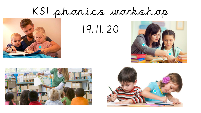## KS1 phonics workshop



19.11.20





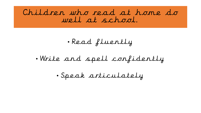Children who read at home do well at school.

• Read fluently

• Write and spell confidently

• Speak articulately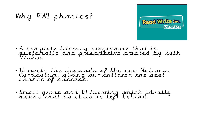

#### • A complete literacy programme that is systematic and prescriptive created by Ruth Miskin.

• It meets the demands of the new National Curriculum, giving our children the best chance of success.

Why RWI phonics?

• Small group and 1:1 tutoring which ideally means that no child is left behind.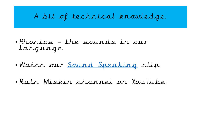## A bit of technical knowledge.

- Phonics = the sounds in our language.
- Watch our [Sound Speaking](https://www.youtube.com/watch?v=TkXcabDUg7Q&t=23s) clip.
- Ruth Miskin channel on YouTube.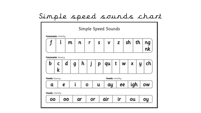## Simple speed sounds chart

|                           | Simple Speed Sounds         |    |    |   |    |   |                  |   |    |    |     |          |  |  |  |
|---------------------------|-----------------------------|----|----|---|----|---|------------------|---|----|----|-----|----------|--|--|--|
|                           | <b>Consonants: stretchy</b> |    |    |   |    |   |                  |   |    |    |     |          |  |  |  |
|                           |                             | m  | n  |   | r  | S | v                | z |    | sh | th  | ng<br>nk |  |  |  |
| <b>Consonants:</b> bouncy |                             |    |    |   |    |   |                  |   |    |    |     |          |  |  |  |
| b                         | k                           | d  | g  | h |    | p | qu               | t | W  | Χ  | y   | ch       |  |  |  |
| Vowels: bouncy            |                             |    |    |   |    |   | Vowels: stretchy |   |    |    |     |          |  |  |  |
| a                         |                             | e  | i  |   | O  | u | ay               |   | ee |    | igh | ow       |  |  |  |
| Vowels: stretchy          |                             |    |    |   |    |   |                  |   |    |    |     |          |  |  |  |
| oo                        |                             | 00 | ar |   | or |   | air              |   | ir | ou |     | oy       |  |  |  |
|                           |                             |    |    |   |    |   |                  |   |    |    |     |          |  |  |  |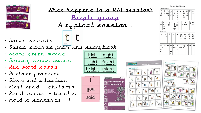

| <u>What happens in a RWI session?</u> |
|---------------------------------------|
| Purple group                          |
| A typical session 1                   |
|                                       |

- Speed sounds
- Speed sounds<br>• Speed sounds from the storybook
- Story green words
- Speedy green words
- Red word cards
- Partner practice
- Story introduction
- First read children
- Read aloud teacher
- Hold a sentence 1

| high   | night  |
|--------|--------|
| light  | fright |
| bright | might  |

you

said



| f            | l      |            |    | n   | r        | s            |         |         | sh         |   | th          |           |
|--------------|--------|------------|----|-----|----------|--------------|---------|---------|------------|---|-------------|-----------|
| ff           | u      | m          | mm | nn  | rr       | SS.          | v<br>ve | z<br>ZZ | ti         |   |             | ng<br>nk  |
| рh           | le     | mb         |    | kn  | wr       | se           |         | s       | cί         |   |             |           |
|              |        |            |    |     |          | с            |         | se      |            |   |             |           |
|              |        |            |    |     |          | ce           |         |         |            |   |             |           |
|              |        |            |    |     |          |              |         |         |            |   |             |           |
| b<br>bb      | C<br>k | d<br>dd gg | g  | h   | j        | р            | qu      | t       | w<br>tt wh | X | y           | ch<br>tch |
|              | ck     |            |    |     | g<br>ge  | pp           |         |         |            |   |             |           |
|              | ch     |            |    |     | dge      |              |         |         |            |   |             |           |
| Vowel sounds |        |            |    |     |          |              |         |         |            |   |             |           |
| a            | e      |            | i  |     | $\Omega$ | $\mathbf{u}$ | ay      |         | ee         |   | igh         | ow        |
|              | ea     |            |    |     |          |              | ã-è     |         | y          |   | $i-e$       | õ-e       |
|              |        |            |    |     |          |              | ai      |         | ea         |   | ie          | oa        |
|              |        |            |    |     |          |              |         |         | e          |   | i           | O         |
|              |        |            |    |     |          |              |         |         |            |   | y           |           |
| oo           | 00     | ar         |    | or  | airl     | ir           | ou      | oy      |            |   | ire ear ure |           |
| ú-é          |        |            |    |     | oorlare  | ur           | ow      | οi      |            |   |             |           |
| ue           |        |            |    | ore |          | er           |         |         |            |   |             |           |
| ew           |        |            |    | aw  |          |              |         |         |            |   |             |           |
|              |        |            |    | аu  |          |              |         |         |            |   |             |           |

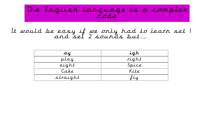#### The English language is a complex code

#### It would be easy if we only had to learn set 1 and set 2 sounds but….

| ay       | igh   |
|----------|-------|
| play     | right |
| eight    | Spice |
| Cake     | Kite  |
| straight | fly   |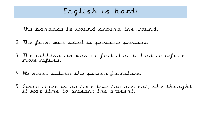### English is hard!

- 1. The bandage is wound around the wound.
- 2. The farm was used to produce produce.
- 3. The rubbish tip was so full that it had to refuse more refuse.
- 4. We must polish the polish furniture.
- 5. Since there is no time like the present, she thought it was time to present the present.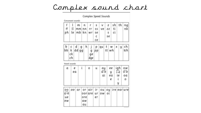## Complex sound chart

Complex Speed Sounds

| .onsonant sounds |  |  |  |  |
|------------------|--|--|--|--|

| 仟 | $\mathfrak{u}$ | mmnn rr ss<br>ph le mb kn wr se | $m \mid n$ | $r$ s |    | ve | 2Z<br>se | v z sh th nq<br>ti.<br>ci | nk |
|---|----------------|---------------------------------|------------|-------|----|----|----------|---------------------------|----|
|   |                |                                 |            |       | ce |    |          |                           |    |

| b<br>bb | k<br>ck<br>r h | dd gg | h | ae<br>dae | р<br>pp | qu | Ļ,<br>tt | W<br>wh | X | y | tch |  |
|---------|----------------|-------|---|-----------|---------|----|----------|---------|---|---|-----|--|
|---------|----------------|-------|---|-----------|---------|----|----------|---------|---|---|-----|--|

Vourel sounds

| a                     | e<br>e a |    | i,                                  | О              | u              | аų<br>$a-e$<br>ai | $e\,e$<br>ų<br>ea<br>e |     | igh<br>$i-e$<br>ie<br>i,<br>ų | ow<br>$\overline{0}$ -e<br>oa<br>0 |
|-----------------------|----------|----|-------------------------------------|----------------|----------------|-------------------|------------------------|-----|-------------------------------|------------------------------------|
| 00<br>u-e<br>ue<br>ew | O        | ar | or<br>ore<br><b>aw</b><br><b>au</b> | air<br>oor are | ίr<br>ur<br>er | 0u<br>OW          | oų<br>O(               | ire |                               | ear ure                            |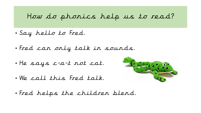#### How do phonics help us to read?

- Say hello to Fred.
- Fred can only talk in sounds.
- He says c-a-t not cat.
- We call this Fred talk.



• Fred helps the children blend.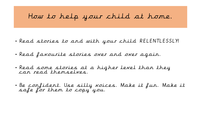## How to help your child at home.

- Read stories to and with your child RELENTLESSLY!
- Read favourite stories over and over again.
- Read some stories at a higher level than they can read themselves.
- Be confident. Use silly voices. Make it fun. Make it safe for them to copy you.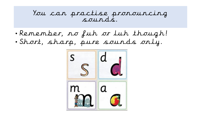#### You can practise pronouncing sounds.

- Remember, no fuh or luh though!
- Short, sharp, pure sounds only.

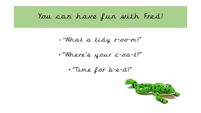## You can have fun with Fred!

- "What a tidy r-oo-m!"
- "Where's your c-oa-t?"
	- "Time for b-e-d!"

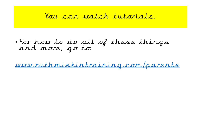#### You can watch tutorials.

• For how to do all of these things and more, go to:

[www.ruthmiskintraining.com/parents](http://www.ruthmiskintraining.com/parents)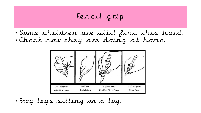Pencil grip

• Some children are still find this hard. • Check how they are doing at home.



• Frog legs sitting on a log.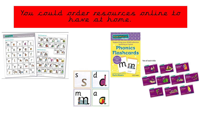#### You could order resources online to have at home.



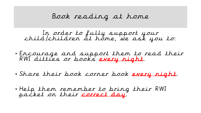## Book reading at home

In order to fully support your child/children at home, we ask you to:

- Encourage and support them to read their RWI ditties or books every night.
- Share their book corner book every night.
- Help them remember to bring their RWI packet on their correct day.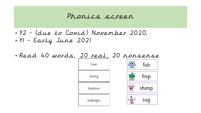#### Phonics screen

• Y2 - (due to Covid) November 2020. • Y1 - Early June 2021

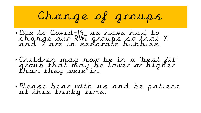# Change of groups

- Due to Covid-19, we have had to change our RWI groups so that Y1 and 2 are in separate bubbles.
- Children may now be in a 'best fit' group that may be lower or higher than they were in.
- Please bear with us and be patient at this tricky time.